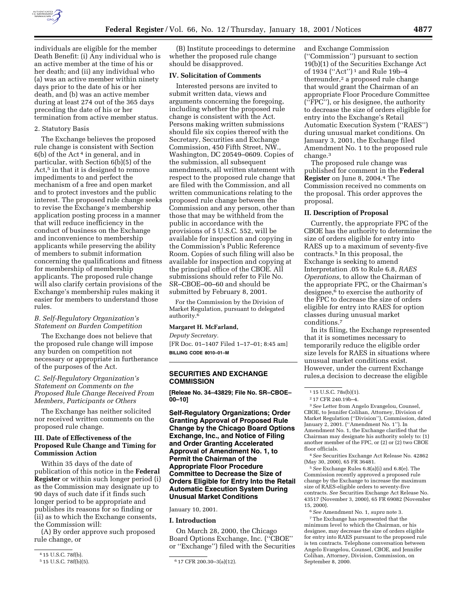

individuals are eligible for the member Death Benefit: (i) Any individual who is an active member at the time of his or her death; and (ii) any individual who (a) was an active member within ninety days prior to the date of his or her death, and (b) was an active member during at least 274 out of the 365 days preceding the date of his or her termination from active member status.

## 2. Statutory Basis

The Exchange believes the proposed rule change is consistent with Section  $6(b)$  of the Act<sup>4</sup> in general, and in particular, with Section 6(b)(5) of the Act,<sup>5</sup> in that it is designed to remove impediments to and perfect the mechanism of a free and open market and to protect investors and the public interest. The proposed rule change seeks to revise the Exchange's membership application posting process in a manner that will reduce inefficiency in the conduct of business on the Exchange and inconvenience to membership applicants while preserving the ability of members to submit information concerning the qualifications and fitness for membership of membership applicants. The proposed rule change will also clarify certain provisions of the Exchange's membership rules making it easier for members to understand those rules.

## *B. Self-Regulatory Organization's Statement on Burden Competition*

The Exchange does not believe that the proposed rule change will impose any burden on competition not necessary or appropriate in furtherance of the purposes of the Act.

# *C. Self-Regulatory Organization's Statement on Comments on the Proposed Rule Change Received From Members, Participants or Others*

The Exchange has neither solicited nor received written comments on the proposed rule change.

## **III. Date of Effectiveness of the Proposed Rule Change and Timing for Commission Action**

Within 35 days of the date of publication of this notice in the **Federal Register** or within such longer period (i) as the Commission may designate up to 90 days of such date if it finds such longer period to be appropriate and publishes its reasons for so finding or (ii) as to which the Exchange consents, the Commission will:

(A) By order approve such proposed rule change, or

(B) Institute proceedings to determine whether the proposed rule change should be disapproved.

## **IV. Solicitation of Comments**

Interested persons are invited to submit written data, views and arguments concerning the foregoing, including whether the proposed rule change is consistent with the Act. Persons making written submissions should file six copies thereof with the Secretary, Securities and Exchange Commission, 450 Fifth Street, NW., Washington, DC 20549–0609. Copies of the submission, all subsequent amendments, all written statement with respect to the proposed rule change that are filed with the Commission, and all written communications relating to the proposed rule change between the Commission and any person, other than those that may be withheld from the public in accordance with the provisions of 5 U.S.C. 552, will be available for inspection and copying in the Commission's Public Reference Room. Copies of such filing will also be available for inspection and copying at the principal office of the CBOE. All submissions should refer to File No. SR–CBOE–00–60 and should be submitted by February 8, 2001.

For the Commission by the Division of Market Regulation, pursuant to delegated authority.6

#### **Margaret H. McFarland,**

*Deputy Secretary.* [FR Doc. 01–1407 Filed 1–17–01; 8:45 am] **BILLING CODE 8010–01–M**

## **SECURITIES AND EXCHANGE COMMISSION**

**[Releae No. 34–43829; File No. SR–CBOE– 00–10]**

**Self-Regulatory Organizations; Order Granting Approval of Proposed Rule Change by the Chicago Board Options Exchange, Inc., and Notice of Filing and Order Granting Accelerated Approval of Amendment No. 1, to Permit the Chairman of the Appropriate Floor Procedure Committee to Decrease the Size of Orders Eligible for Entry Into the Retail Automatic Execution System During Unusual Market Conditions**

#### January 10, 2001.

#### **I. Introduction**

On March 28, 2000, the Chicago Board Options Exchange, Inc. (''CBOE'' or ''Exchange'') filed with the Securities

and Exchange Commission (''Commission'') pursuant to section 19(b)(1) of the Securities Exchange Act of 1934 (''Act'') 1 and Rule 19b–4 thereunder,<sup>2</sup> a proposed rule change that would grant the Chairman of an appropriate Floor Procedure Committee (''FPC''), or his designee, the authority to decrease the size of orders eligible for entry into the Exchange's Retail Automatic Execution System (''RAES'') during unusual market conditions. On January 3, 2001, the Exchange filed Amendment No. 1 to the proposed rule change.3

The proposed rule change was published for comment in the **Federal Register** on June 8, 2004.4 The Commission received no comments on the proposal. This order approves the proposal.

### **II. Description of Proposal**

Currently, the appropriate FPC of the CBOE has the authority to determine the size of orders eligible for entry into RAES up to a maximum of seventy-five contracts.5 In this proposal, the Exchange is seeking to amend Interpretation .05 to Rule 6.8, *RAES Operations,* to allow the Chairman of the appropriate FPC, or the Chairman's designee,<sup>6</sup> to exercise the authority of the FPC to decrease the size of orders eligible for entry into RAES for option classes during unusual market conditions.7

In its filing, the Exchange represented that it is sometimes necessary to temporarily reduce the eligible order size levels for RAES in situations where unusual market conditions exist. However, under the current Exchange rules,a decision to decrease the eligible

3*See* Letter from Angelo Evangelou, Counsel, CBOE, to Jennifer Colihan, Attorney, Division of Market Regulation (''Division''), Commission, dated January 2, 2001. (''Amendment No. 1''). In Amendment No. 1, the Exchange clarified that the Chairman may designate his authority solely to: (1) another member of the FPC, or (2) or (2) two CBOE floor officials.

4*See* Securities Exchange Act Release No. 42862 (May 30, 2000), 65 FR 36481.

5*See* Exchange Rules 6.8(a)(i) and 6.8(e). The Commission recently approved a proposed rule change by the Exchange to increase the maximum size of RAES-eligible orders to seventy-five contracts. *See* Securities Exchange Act Release No. 43517 (November 3, 2000), 65 FR 69082 (November 15, 2000).

6*See* Amendment No. 1, *supra* note 3.

7The Exchange has represented that the minimum level to which the Chairman, or his designee, may decrease the size of orders eligible for entry into RAES pursuant to the proposed rule is ten contracts. Telephone conversation between Angelo Evangelou, Counsel, CBOE, and Jennifer Colihan, Attorney, Division, Commission, on September 8, 2000.

<sup>&</sup>lt;sup>4</sup> 15 U.S.C. 78f(b).<br><sup>5</sup> 15 U.S.C. 78f(b)(5).

 $6$  17 CFR 200.30-3(a)(12).

<sup>1</sup> 15 U.S.C. 78s(b)(1).

<sup>2</sup> 17 CFR 240.19b–4.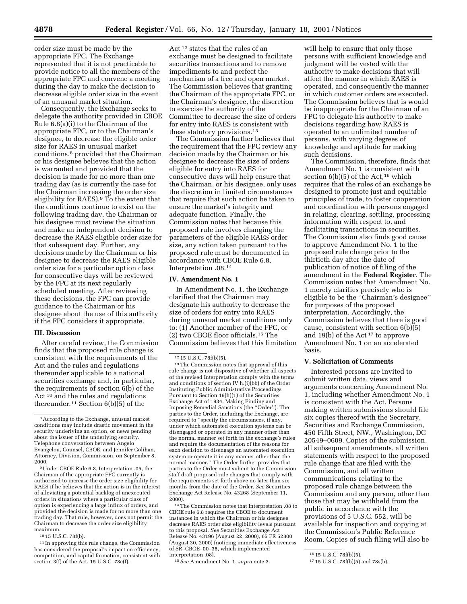order size must be made by the appropriate FPC. The Exchange represented that it is not practicable to provide notice to all the members of the appropriate FPC and convene a meeting during the day to make the decision to decrease eligible order size in the event of an unusual market situation.

Consequently, the Exchange seeks to delegate the authority provided in CBOE Rule 6.8(a)(i) to the Chairman of the appropriate FPC, or to the Chairman's designee, to decrease the eligible order size for RAES in unusual market conditions,8 provided that the Chairman or his designee believes that the action is warranted and provided that the decision is made for no more than one trading day (as is currently the case for the Chairman increasing the order size eligibility for RAES).9 To the extent that the conditions continue to exist on the following trading day, the Chairman or his designee must review the situation and make an independent decision to decrease the RAES eligible order size for that subsequent day. Further, any decisions made by the Chairman or his designee to decrease the RAES eligible order size for a particular option class for consecutive days will be reviewed by the FPC at its next regularly scheduled meeting. After reviewing these decisions, the FPC can provide guidance to the Chairman or his designee about the use of this authority if the FPC considers it appropriate.

### **III. Discussion**

After careful review, the Commission finds that the proposed rule change is consistent with the requirements of the Act and the rules and regulations thereunder applicable to a national securities exchange and, in particular, the requirements of section 6(b) of the Act<sup>10</sup> and the rules and regulations thereunder.11 Section 6(b)(5) of the

9Under CBOE Rule 6.8, Interpretation .05, the Chairman of the appropriate FPC currently is authorized to increase the order size eligibility for RAES if he believes that the action is in the interest of alleviating a potential backlog of unexecuted orders in situations where a particular class of option is experiencing a large influx of orders, and provided the decision is made for no more than one trading day. That rule, however, does not permit the Chairman to decrease the order size eligibility maximum.

10 15 U.S.C. 78f(b).

11 In approving this rule change, the Commission has considered the proposal's impact on efficiency, competition, and capital formation, consistent with section 3(f) of the Act. 15 U.S.C. 78c(f).

Act 12 states that the rules of an exchange must be designed to facilitate securities transactions and to remove impediments to and perfect the mechanism of a free and open market. The Commission believes that granting the Chairman of the appropriate FPC, or the Chairman's designee, the discretion to exercise the authority of the Committee to decrease the size of orders for entry into RAES is consistent with these statutory provisions.13

The Commission further believes that the requirement that the FPC review any decision made by the Chairman or his designee to decrease the size of orders eligible for entry into RAES for consecutive days will help ensure that the Chairman, or his designee, only uses the discretion in limited circumstances that require that such action be taken to ensure the market's integrity and adequate function. Finally, the Commission notes that because this proposed rule involves changing the parameters of the eligible RAES order size, any action taken pursuant to the proposed rule must be documented in accordance with CBOE Rule 6.8, Interpretation .08.14

### **IV. Amendment No. 1**

In Amendment No. 1, the Exchange clarified that the Chairman may designate his authority to decrease the size of orders for entry into RAES during unusual market conditions only to: (1) Another member of the FPC, or (2) two CBOE floor officials.15 The Commission believes that this limitation

14The Commission notes that Interpretation .08 to CBOE rule 6.8 requires the CBOE to document instances in which the Chairman or his designee decrease RAES order size eligibility levels pursuant to this proposal. *See* Securities Exchange Act Release No. 43196 (August 22, 2000), 65 FR 52800 (August 30, 2000) (noticing immediate effectiveness of SR–CBOE–00–38, which implemented Interpretation .08).

15*See* Amendment No. 1, *supra* note 3.

will help to ensure that only those persons with sufficient knowledge and judgment will be vested with the authority to make decisions that will affect the manner in which RAES is operated, and consequently the manner in which customer orders are executed. The Commission believes that is would be inappropriate for the Chairman of an FPC to delegate his authority to make decisions regarding how RAES is operated to an unlimited number of persons, with varying degrees of knowledge and aptitude for making such decisions.

The Commission, therefore, finds that Amendment No. 1 is consistent with section  $6(b)(5)$  of the Act,<sup>16</sup> which requires that the rules of an exchange be designed to promote just and equitable principles of trade, to foster cooperation and coordination with persons engaged in relating, clearing, settling, processing information with respect to, and facilitating transactions in securities. The Commission also finds good cause to approve Amendment No. 1 to the proposed rule change prior to the thirtieth day after the date of publication of notice of filing of the amendment in the **Federal Register**. The Commission notes that Amendment No. 1 merely clarifies precisely who is eligible to be the ''Chairman's designee'' for purposes of the proposed interpretation. Accordingly, the Commission believes that there is good cause, consistent with section 6(b)(5) and 19(b) of the Act 17 to approve Amendment No. 1 on an accelerated basis.

## **V. Solicitation of Comments**

Interested persons are invited to submit written data, views and arguments concerning Amendment No. 1, including whether Amendment No. 1 is consistent with the Act. Persons making written submissions should file six copies thereof with the Secretary, Securities and Exchange Commission, 450 Fifth Street, NW., Washington, DC 20549–0609. Copies of the submission, all subsequent amendments, all written statements with respect to the proposed rule change that are filed with the Commission, and all written communications relating to the proposed rule change between the Commission and any person, other than those that may be withheld from the public in accordance with the provisions of 5 U.S.C. 552, will be available for inspection and copying at the Commission's Public Reference Room. Copies of such filing will also be

<sup>8</sup>According to the Exchange, unusual market conditions may include drastic movement in the security underlying an option, or news pending about the issuer of the underlying security. Telephone conversation between Angelo Evangelou, Counsel, CBOE, and Jennifer Colihan, Attorney, Division, Commission, on September 8, 2000.

<sup>12</sup> 15 U.S.C. 78f(b)(5).

<sup>13</sup>The Commission notes that approval of this rule change is not dispositive of whether all aspects of the revised Interpretation comply with the terms and conditions of section IV.h.(i)(bb) of the Order Instituting Public Administrative Proceedings Pursuant to Section 19(h)(1) of the Securities Exchange Act of 1934, Making Finding and Imposing Remedial Sanctions (the ''Order''). The parties to the Order, including the Exchange, are required to ''specify the circumstances, if any, under which automated execution systems can be disengaged or operated in any manner other than the normal manner set forth in the exchange's rules and require the documentation of the reasons for each decision to disengage an automated execution system or operate it in any manner other than the normal manner.'' The Order further provides that parties to the Order must submit to the Commission staff draft proposed rule changes that comply with the requirements set forth above no later than six months from the date of the Order. *See* Securities Exchange Act Release No. 43268 (September 11, 2000).

<sup>16</sup> 15 U.S.C. 78f(b)(5).

<sup>17</sup> 15 U.S.C. 78f(b)(5) and 78s(b).